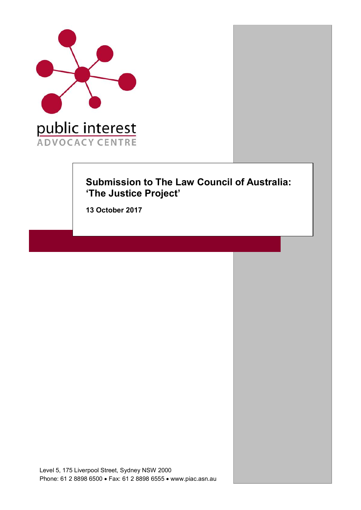

# **Submission to The Law Council of Australia: 'The Justice Project'**

**13 October 2017**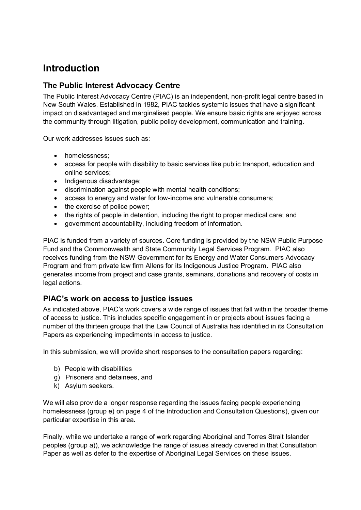# **Introduction**

## **The Public Interest Advocacy Centre**

The Public Interest Advocacy Centre (PIAC) is an independent, non-profit legal centre based in New South Wales. Established in 1982, PIAC tackles systemic issues that have a significant impact on disadvantaged and marginalised people. We ensure basic rights are enjoyed across the community through litigation, public policy development, communication and training.

Our work addresses issues such as:

- homelessness;
- access for people with disability to basic services like public transport, education and online services;
- Indigenous disadvantage;
- discrimination against people with mental health conditions;
- access to energy and water for low-income and vulnerable consumers;
- the exercise of police power;
- the rights of people in detention, including the right to proper medical care; and
- government accountability, including freedom of information.

PIAC is funded from a variety of sources. Core funding is provided by the NSW Public Purpose Fund and the Commonwealth and State Community Legal Services Program. PIAC also receives funding from the NSW Government for its Energy and Water Consumers Advocacy Program and from private law firm Allens for its Indigenous Justice Program. PIAC also generates income from project and case grants, seminars, donations and recovery of costs in legal actions.

## **PIAC's work on access to justice issues**

As indicated above, PIAC's work covers a wide range of issues that fall within the broader theme of access to justice. This includes specific engagement in or projects about issues facing a number of the thirteen groups that the Law Council of Australia has identified in its Consultation Papers as experiencing impediments in access to justice.

In this submission, we will provide short responses to the consultation papers regarding:

- b) People with disabilities
- g) Prisoners and detainees, and
- k) Asylum seekers.

We will also provide a longer response regarding the issues facing people experiencing homelessness (group e) on page 4 of the Introduction and Consultation Questions), given our particular expertise in this area.

Finally, while we undertake a range of work regarding Aboriginal and Torres Strait Islander peoples (group a)), we acknowledge the range of issues already covered in that Consultation Paper as well as defer to the expertise of Aboriginal Legal Services on these issues.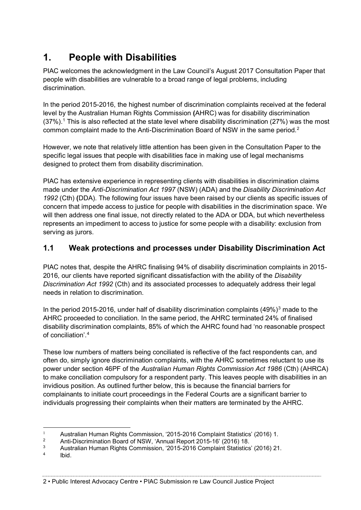# **1. People with Disabilities**

PIAC welcomes the acknowledgment in the Law Council's August 2017 Consultation Paper that people with disabilities are vulnerable to a broad range of legal problems, including discrimination.

In the period 2015-2016, the highest number of discrimination complaints received at the federal level by the Australian Human Rights Commission **(**AHRC) was for disability discrimination  $(37%)$ .<sup>1</sup> This is also reflected at the state level where disability discrimination (27%) was the most common complaint made to the Anti-Discrimination Board of NSW in the same period.<sup>2</sup>

However, we note that relatively little attention has been given in the Consultation Paper to the specific legal issues that people with disabilities face in making use of legal mechanisms designed to protect them from disability discrimination.

PIAC has extensive experience in representing clients with disabilities in discrimination claims made under the *Anti-Discrimination Act 1997* (NSW) (ADA) and the *Disability Discrimination Act 1992* (Cth) **(**DDA). The following four issues have been raised by our clients as specific issues of concern that impede access to justice for people with disabilities in the discrimination space. We will then address one final issue, not directly related to the ADA or DDA, but which nevertheless represents an impediment to access to justice for some people with a disability: exclusion from serving as jurors.

## **1.1 Weak protections and processes under Disability Discrimination Act**

PIAC notes that, despite the AHRC finalising 94% of disability discrimination complaints in 2015- 2016, our clients have reported significant dissatisfaction with the ability of the *Disability Discrimination Act 1992* (Cth) and its associated processes to adequately address their legal needs in relation to discrimination.

In the period 2015-2016, under half of disability discrimination complaints  $(49\%)^3$  made to the AHRC proceeded to conciliation. In the same period, the AHRC terminated 24% of finalised disability discrimination complaints, 85% of which the AHRC found had 'no reasonable prospect of conciliation'.<sup>4</sup>

These low numbers of matters being conciliated is reflective of the fact respondents can, and often do, simply ignore discrimination complaints, with the AHRC sometimes reluctant to use its power under section 46PF of the *Australian Human Rights Commission Act 1986* (Cth) (AHRCA) to make conciliation compulsory for a respondent party. This leaves people with disabilities in an invidious position. As outlined further below, this is because the financial barriers for complainants to initiate court proceedings in the Federal Courts are a significant barrier to individuals progressing their complaints when their matters are terminated by the AHRC.

Ibid.

 $\mathbf{1}$ <sup>1</sup> Australian Human Rights Commission, '2015-2016 Complaint Statistics' (2016) 1.<br><sup>2</sup> Anti Discrimination Board of NSW ('Annual Board 2015-16' (2016) 18

<sup>2</sup> Anti-Discrimination Board of NSW, 'Annual Report 2015-16' (2016) 18.<br>3 Australian Human Birkto Commission. '2015-2016 Complete Statistics

<sup>&</sup>lt;sup>3</sup> Australian Human Rights Commission, '2015-2016 Complaint Statistics' (2016) 21.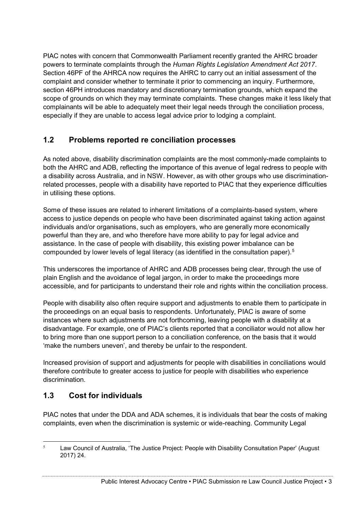PIAC notes with concern that Commonwealth Parliament recently granted the AHRC broader powers to terminate complaints through the *Human Rights Legislation Amendment Act 2017*. Section 46PF of the AHRCA now requires the AHRC to carry out an initial assessment of the complaint and consider whether to terminate it prior to commencing an inquiry. Furthermore, section 46PH introduces mandatory and discretionary termination grounds, which expand the scope of grounds on which they may terminate complaints. These changes make it less likely that complainants will be able to adequately meet their legal needs through the conciliation process, especially if they are unable to access legal advice prior to lodging a complaint.

## **1.2 Problems reported re conciliation processes**

As noted above, disability discrimination complaints are the most commonly-made complaints to both the AHRC and ADB, reflecting the importance of this avenue of legal redress to people with a disability across Australia, and in NSW. However, as with other groups who use discriminationrelated processes, people with a disability have reported to PIAC that they experience difficulties in utilising these options.

Some of these issues are related to inherent limitations of a complaints-based system, where access to justice depends on people who have been discriminated against taking action against individuals and/or organisations, such as employers, who are generally more economically powerful than they are, and who therefore have more ability to pay for legal advice and assistance. In the case of people with disability, this existing power imbalance can be compounded by lower levels of legal literacy (as identified in the consultation paper).5

This underscores the importance of AHRC and ADB processes being clear, through the use of plain English and the avoidance of legal jargon, in order to make the proceedings more accessible, and for participants to understand their role and rights within the conciliation process.

People with disability also often require support and adjustments to enable them to participate in the proceedings on an equal basis to respondents. Unfortunately, PIAC is aware of some instances where such adjustments are not forthcoming, leaving people with a disability at a disadvantage. For example, one of PIAC's clients reported that a conciliator would not allow her to bring more than one support person to a conciliation conference, on the basis that it would 'make the numbers uneven', and thereby be unfair to the respondent.

Increased provision of support and adjustments for people with disabilities in conciliations would therefore contribute to greater access to justice for people with disabilities who experience discrimination.

## **1.3 Cost for individuals**

PIAC notes that under the DDA and ADA schemes, it is individuals that bear the costs of making complaints, even when the discrimination is systemic or wide-reaching. Community Legal

 $5$  Law Council of Australia, 'The Justice Project: People with Disability Consultation Paper' (August 2017) 24.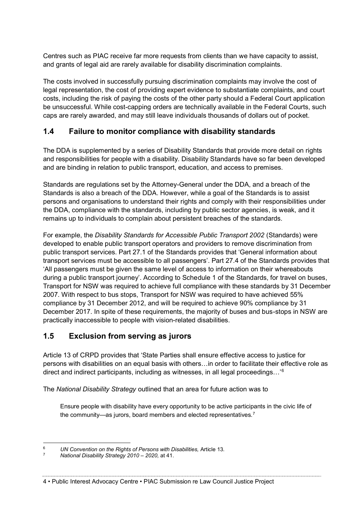Centres such as PIAC receive far more requests from clients than we have capacity to assist, and grants of legal aid are rarely available for disability discrimination complaints.

The costs involved in successfully pursuing discrimination complaints may involve the cost of legal representation, the cost of providing expert evidence to substantiate complaints, and court costs, including the risk of paying the costs of the other party should a Federal Court application be unsuccessful. While cost-capping orders are technically available in the Federal Courts, such caps are rarely awarded, and may still leave individuals thousands of dollars out of pocket.

## **1.4 Failure to monitor compliance with disability standards**

The DDA is supplemented by a series of Disability Standards that provide more detail on rights and responsibilities for people with a disability. Disability Standards have so far been developed and are binding in relation to public transport, education, and access to premises.

Standards are regulations set by the Attorney-General under the DDA, and a breach of the Standards is also a breach of the DDA. However, while a goal of the Standards is to assist persons and organisations to understand their rights and comply with their responsibilities under the DDA, compliance with the standards, including by public sector agencies, is weak, and it remains up to individuals to complain about persistent breaches of the standards.

For example, the *Disability Standards for Accessible Public Transport 2002* (Standards) were developed to enable public transport operators and providers to remove discrimination from public transport services. Part 27.1 of the Standards provides that 'General information about transport services must be accessible to all passengers'. Part 27.4 of the Standards provides that 'All passengers must be given the same level of access to information on their whereabouts during a public transport journey'. According to Schedule 1 of the Standards, for travel on buses, Transport for NSW was required to achieve full compliance with these standards by 31 December 2007. With respect to bus stops, Transport for NSW was required to have achieved 55% compliance by 31 December 2012, and will be required to achieve 90% compliance by 31 December 2017. In spite of these requirements, the majority of buses and bus-stops in NSW are practically inaccessible to people with vision-related disabilities.

## **1.5 Exclusion from serving as jurors**

Article 13 of CRPD provides that 'State Parties shall ensure effective access to justice for persons with disabilities on an equal basis with others…in order to facilitate their effective role as direct and indirect participants, including as witnesses, in all legal proceedings…'<sup>6</sup>

The *National Disability Strategy* outlined that an area for future action was to

Ensure people with disability have every opportunity to be active participants in the civic life of the community—as jurors, board members and elected representatives.<sup>7</sup>

 <sup>6</sup> *UN Convention on the Rights of Persons with Disabilities,* Article 13*.* 

<sup>7</sup> *National Disability Strategy 2010 – 2020,* at 41.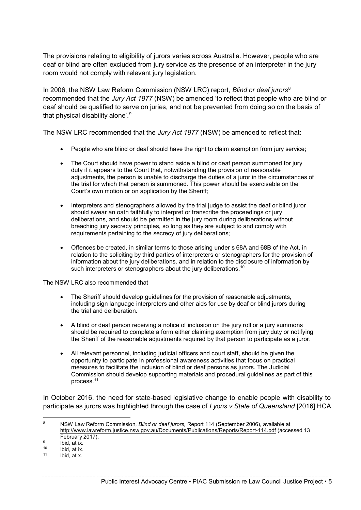The provisions relating to eligibility of jurors varies across Australia. However, people who are deaf or blind are often excluded from jury service as the presence of an interpreter in the jury room would not comply with relevant jury legislation.

In 2006, the NSW Law Reform Commission (NSW LRC) report, *Blind or deaf jurors*<sup>8</sup> recommended that the *Jury Act 1977* (NSW) be amended 'to reflect that people who are blind or deaf should be qualified to serve on juries, and not be prevented from doing so on the basis of that physical disability alone'.<sup>9</sup>

The NSW LRC recommended that the *Jury Act 1977* (NSW) be amended to reflect that:

- People who are blind or deaf should have the right to claim exemption from jury service;
- The Court should have power to stand aside a blind or deaf person summoned for jury duty if it appears to the Court that, notwithstanding the provision of reasonable adjustments, the person is unable to discharge the duties of a juror in the circumstances of the trial for which that person is summoned. This power should be exercisable on the Court's own motion or on application by the Sheriff;
- Interpreters and stenographers allowed by the trial judge to assist the deaf or blind juror should swear an oath faithfully to interpret or transcribe the proceedings or jury deliberations, and should be permitted in the jury room during deliberations without breaching jury secrecy principles, so long as they are subject to and comply with requirements pertaining to the secrecy of jury deliberations;
- Offences be created, in similar terms to those arising under s 68A and 68B of the Act, in relation to the soliciting by third parties of interpreters or stenographers for the provision of information about the jury deliberations, and in relation to the disclosure of information by such interpreters or stenographers about the jury deliberations.<sup>10</sup>

The NSW LRC also recommended that

- The Sheriff should develop quidelines for the provision of reasonable adjustments, including sign language interpreters and other aids for use by deaf or blind jurors during the trial and deliberation.
- A blind or deaf person receiving a notice of inclusion on the jury roll or a jury summons should be required to complete a form either claiming exemption from jury duty or notifying the Sheriff of the reasonable adjustments required by that person to participate as a juror.
- All relevant personnel, including judicial officers and court staff, should be given the opportunity to participate in professional awareness activities that focus on practical measures to facilitate the inclusion of blind or deaf persons as jurors. The Judicial Commission should develop supporting materials and procedural guidelines as part of this process.11

In October 2016, the need for state-based legislative change to enable people with disability to participate as jurors was highlighted through the case of *Lyons v State of Queensland* [2016] HCA

 <sup>8</sup> NSW Law Reform Commission, *Blind or deaf jurors,* Report 114 (September 2006), available at http://www.lawreform.justice.nsw.gov.au/Documents/Publications/Reports/Report-114.pdf (accessed 13 February 2017).<br><sup>9</sup> Ibid, at ix.<br><sup>10</sup> Ibid, at ix.

 $10$  Ibid, at ix.

Ibid, at x.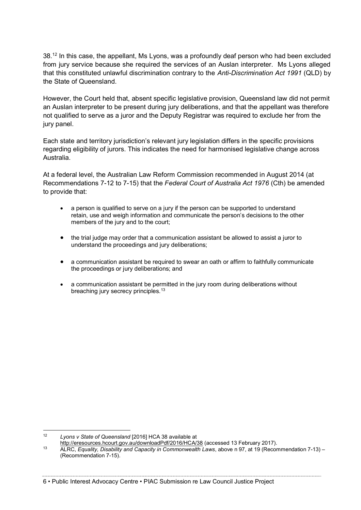38.12 In this case, the appellant, Ms Lyons, was a profoundly deaf person who had been excluded from jury service because she required the services of an Auslan interpreter. Ms Lyons alleged that this constituted unlawful discrimination contrary to the *Anti-Discrimination Act 1991* (QLD) by the State of Queensland.

However, the Court held that, absent specific legislative provision, Queensland law did not permit an Auslan interpreter to be present during jury deliberations, and that the appellant was therefore not qualified to serve as a juror and the Deputy Registrar was required to exclude her from the jury panel.

Each state and territory jurisdiction's relevant jury legislation differs in the specific provisions regarding eligibility of jurors. This indicates the need for harmonised legislative change across Australia.

At a federal level, the Australian Law Reform Commission recommended in August 2014 (at Recommendations 7-12 to 7-15) that the *Federal Court of Australia Act 1976* (Cth) be amended to provide that:

- a person is qualified to serve on a jury if the person can be supported to understand retain, use and weigh information and communicate the person's decisions to the other members of the jury and to the court;
- the trial judge may order that a communication assistant be allowed to assist a juror to understand the proceedings and jury deliberations;
- a communication assistant be required to swear an oath or affirm to faithfully communicate the proceedings or jury deliberations; and
- a communication assistant be permitted in the jury room during deliberations without breaching jury secrecy principles.<sup>13</sup>

<sup>&</sup>lt;sup>12</sup> *Lyons v State of Queensland* [2016] HCA 38 available at *Lyons v State of Queensland* [2016] LCA 38 available at *attor/leresources.hcourt.gov.au/downloadPdf/2016/HCA/38* (accessed 13 February 2017).

http://eresources.hcommunity.com/2016/http://eresources.hcourt.gov.au/download-<br><sup>13</sup> ALRC, *Equality, Disability and Capacity in Commonwealth Laws*, above n 97, at 19 [\(](http://eresources.hcourt.gov.au/downloadPdf/2016/HCA/38)Recommendation 7-13) – (Recommendation 7-15).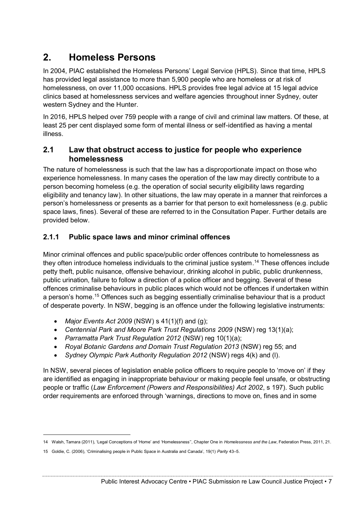# **2. Homeless Persons**

In 2004, PIAC established the Homeless Persons' Legal Service (HPLS). Since that time, HPLS has provided legal assistance to more than 5,900 people who are homeless or at risk of homelessness, on over 11,000 occasions. HPLS provides free legal advice at 15 legal advice clinics based at homelessness services and welfare agencies throughout inner Sydney, outer western Sydney and the Hunter.

In 2016, HPLS helped over 759 people with a range of civil and criminal law matters. Of these, at least 25 per cent displayed some form of mental illness or self-identified as having a mental illness.

## **2.1 Law that obstruct access to justice for people who experience homelessness**

The nature of homelessness is such that the law has a disproportionate impact on those who experience homelessness. In many cases the operation of the law may directly contribute to a person becoming homeless (e.g. the operation of social security eligibility laws regarding eligibility and tenancy law). In other situations, the law may operate in a manner that reinforces a person's homelessness or presents as a barrier for that person to exit homelessness (e.g. public space laws, fines). Several of these are referred to in the Consultation Paper. Further details are provided below.

## **2.1.1 Public space laws and minor criminal offences**

Minor criminal offences and public space/public order offences contribute to homelessness as they often introduce homeless individuals to the criminal justice system.<sup>14</sup> These offences include petty theft, public nuisance, offensive behaviour, drinking alcohol in public, public drunkenness, public urination, failure to follow a direction of a police officer and begging. Several of these offences criminalise behaviours in public places which would not be offences if undertaken within a person's home.<sup>15</sup> Offences such as begging essentially criminalise behaviour that is a product of desperate poverty. In NSW, begging is an offence under the following legislative instruments:

- *Major Events Act 2009* (NSW) s 41(1)(f) and (g);
- *Centennial Park and Moore Park Trust Regulations 2009* (NSW) reg 13(1)(a);
- *Parramatta Park Trust Regulation 2012* (NSW) reg 10(1)(a);
- *Royal Botanic Gardens and Domain Trust Regulation 2013* (NSW) reg 55; and
- *Sydney Olympic Park Authority Regulation 2012* (NSW) regs 4(k) and (l).

In NSW, several pieces of legislation enable police officers to require people to 'move on' if they are identified as engaging in inappropriate behaviour or making people feel unsafe, or obstructing people or traffic (*Law Enforcement (Powers and Responsibilities) Act 2002*, s 197). Such public order requirements are enforced through 'warnings, directions to move on, fines and in some

<sup>14</sup> Walsh, Tamara (2011), 'Legal Conceptions of 'Home' and 'Homelessness'', Chapter One in *Homelessness and the Law*, Federation Press, 2011, 21.

<sup>15</sup> Goldie, C. (2006), 'Criminalising people in Public Space in Australia and Canada', 19(1) *Parity* 43–5.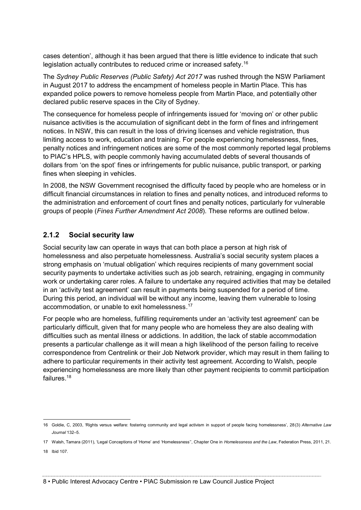cases detention', although it has been argued that there is little evidence to indicate that such legislation actually contributes to reduced crime or increased safety.<sup>16</sup>

The *Sydney Public Reserves (Public Safety) Act 2017* was rushed through the NSW Parliament in August 2017 to address the encampment of homeless people in Martin Place. This has expanded police powers to remove homeless people from Martin Place, and potentially other declared public reserve spaces in the City of Sydney.

The consequence for homeless people of infringements issued for 'moving on' or other public nuisance activities is the accumulation of significant debt in the form of fines and infringement notices. In NSW, this can result in the loss of driving licenses and vehicle registration, thus limiting access to work, education and training. For people experiencing homelessness, fines, penalty notices and infringement notices are some of the most commonly reported legal problems to PIAC's HPLS, with people commonly having accumulated debts of several thousands of dollars from 'on the spot' fines or infringements for public nuisance, public transport, or parking fines when sleeping in vehicles.

In 2008, the NSW Government recognised the difficulty faced by people who are homeless or in difficult financial circumstances in relation to fines and penalty notices, and introduced reforms to the administration and enforcement of court fines and penalty notices, particularly for vulnerable groups of people (*Fines Further Amendment Act 2008*). These reforms are outlined below.

## **2.1.2 Social security law**

Social security law can operate in ways that can both place a person at high risk of homelessness and also perpetuate homelessness. Australia's social security system places a strong emphasis on 'mutual obligation' which requires recipients of many government social security payments to undertake activities such as job search, retraining, engaging in community work or undertaking carer roles. A failure to undertake any required activities that may be detailed in an 'activity test agreement' can result in payments being suspended for a period of time. During this period, an individual will be without any income, leaving them vulnerable to losing accommodation, or unable to exit homelessness. 17

For people who are homeless, fulfilling requirements under an 'activity test agreement' can be particularly difficult, given that for many people who are homeless they are also dealing with difficulties such as mental illness or addictions. In addition, the lack of stable accommodation presents a particular challenge as it will mean a high likelihood of the person failing to receive correspondence from Centrelink or their Job Network provider, which may result in them failing to adhere to particular requirements in their activity test agreement. According to Walsh, people experiencing homelessness are more likely than other payment recipients to commit participation failures. 18

 <sup>16</sup> Goldie, C, 2003, 'Rights versus welfare: fostering community and legal activism in support of people facing homelessness', 28(3) *Alternative Law Journal* 132–5.

<sup>17</sup> Walsh, Tamara (2011), 'Legal Conceptions of 'Home' and 'Homelessness'', Chapter One in *Homelessness and the Law*, Federation Press, 2011, 21.

<sup>18</sup> Ibid 107.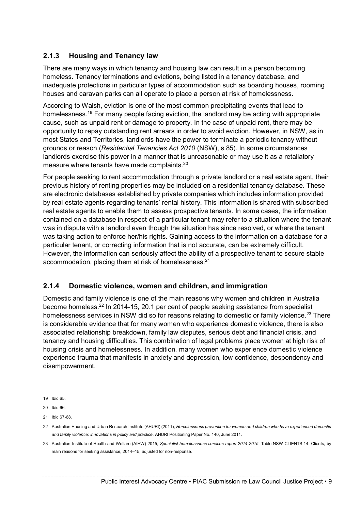## **2.1.3 Housing and Tenancy law**

There are many ways in which tenancy and housing law can result in a person becoming homeless. Tenancy terminations and evictions, being listed in a tenancy database, and inadequate protections in particular types of accommodation such as boarding houses, rooming houses and caravan parks can all operate to place a person at risk of homelessness.

According to Walsh, eviction is one of the most common precipitating events that lead to homelessness.<sup>19</sup> For many people facing eviction, the landlord may be acting with appropriate cause, such as unpaid rent or damage to property. In the case of unpaid rent, there may be opportunity to repay outstanding rent arrears in order to avoid eviction. However, in NSW, as in most States and Territories, landlords have the power to terminate a periodic tenancy without grounds or reason (*Residential Tenancies Act 2010* (NSW), s 85). In some circumstances landlords exercise this power in a manner that is unreasonable or may use it as a retaliatory measure where tenants have made complaints.<sup>20</sup>

For people seeking to rent accommodation through a private landlord or a real estate agent, their previous history of renting properties may be included on a residential tenancy database. These are electronic databases established by private companies which includes information provided by real estate agents regarding tenants' rental history. This information is shared with subscribed real estate agents to enable them to assess prospective tenants. In some cases, the information contained on a database in respect of a particular tenant may refer to a situation where the tenant was in dispute with a landlord even though the situation has since resolved, or where the tenant was taking action to enforce her/his rights. Gaining access to the information on a database for a particular tenant, or correcting information that is not accurate, can be extremely difficult. However, the information can seriously affect the ability of a prospective tenant to secure stable accommodation, placing them at risk of homelessness.<sup>21</sup>

## **2.1.4 Domestic violence, women and children, and immigration**

Domestic and family violence is one of the main reasons why women and children in Australia become homeless.<sup>22</sup> In 2014-15, 20.1 per cent of people seeking assistance from specialist homelessness services in NSW did so for reasons relating to domestic or family violence.<sup>23</sup> There is considerable evidence that for many women who experience domestic violence, there is also associated relationship breakdown, family law disputes, serious debt and financial crisis, and tenancy and housing difficulties. This combination of legal problems place women at high risk of housing crisis and homelessness. In addition, many women who experience domestic violence experience trauma that manifests in anxiety and depression, low confidence, despondency and disempowerment.

 <sup>19</sup> Ibid 65.

<sup>20</sup> Ibid 66.

<sup>21</sup> Ibid 67-68.

<sup>22</sup> Australian Housing and Urban Research Institute (AHURI) (2011), *Homelessness prevention for women and children who have experienced domestic and family violence: innovations in policy and practice*, AHURI Positioning Paper No. 140, June 2011.

<sup>23</sup> Australian Institute of Health and Welfare (AIHW) 2015, *Specialist homelessness services report 2014-2015*, Table NSW CLIENTS.14: Clients, by main reasons for seeking assistance, 2014–15, adjusted for non-response.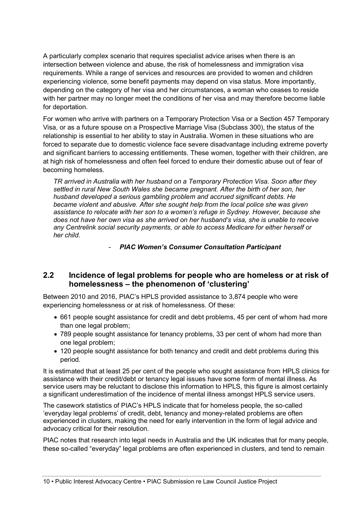A particularly complex scenario that requires specialist advice arises when there is an intersection between violence and abuse, the risk of homelessness and immigration visa requirements. While a range of services and resources are provided to women and children experiencing violence, some benefit payments may depend on visa status. More importantly, depending on the category of her visa and her circumstances, a woman who ceases to reside with her partner may no longer meet the conditions of her visa and may therefore become liable for deportation.

For women who arrive with partners on a Temporary Protection Visa or a Section 457 Temporary Visa, or as a future spouse on a Prospective Marriage Visa (Subclass 300), the status of the relationship is essential to her ability to stay in Australia. Women in these situations who are forced to separate due to domestic violence face severe disadvantage including extreme poverty and significant barriers to accessing entitlements. These women, together with their children, are at high risk of homelessness and often feel forced to endure their domestic abuse out of fear of becoming homeless.

*TR arrived in Australia with her husband on a Temporary Protection Visa. Soon after they settled in rural New South Wales she became pregnant. After the birth of her son, her husband developed a serious gambling problem and accrued significant debts. He became violent and abusive. After she sought help from the local police she was given assistance to relocate with her son to a women's refuge in Sydney. However, because she does not have her own visa as she arrived on her husband's visa, she is unable to receive any Centrelink social security payments, or able to access Medicare for either herself or her child.*

- *PIAC Women's Consumer Consultation Participant*

## **2.2 Incidence of legal problems for people who are homeless or at risk of homelessness – the phenomenon of 'clustering'**

Between 2010 and 2016, PIAC's HPLS provided assistance to 3,874 people who were experiencing homelessness or at risk of homelessness. Of these:

- 661 people sought assistance for credit and debt problems, 45 per cent of whom had more than one legal problem;
- 789 people sought assistance for tenancy problems, 33 per cent of whom had more than one legal problem;
- 120 people sought assistance for both tenancy and credit and debt problems during this period.

It is estimated that at least 25 per cent of the people who sought assistance from HPLS clinics for assistance with their credit/debt or tenancy legal issues have some form of mental illness. As service users may be reluctant to disclose this information to HPLS, this figure is almost certainly a significant underestimation of the incidence of mental illness amongst HPLS service users.

The casework statistics of PIAC's HPLS indicate that for homeless people, the so-called 'everyday legal problems' of credit, debt, tenancy and money-related problems are often experienced in clusters, making the need for early intervention in the form of legal advice and advocacy critical for their resolution.

PIAC notes that research into legal needs in Australia and the UK indicates that for many people, these so-called "everyday" legal problems are often experienced in clusters, and tend to remain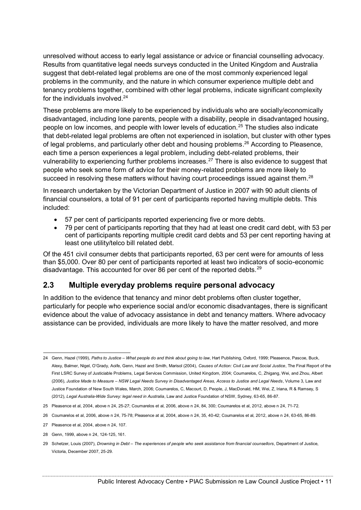unresolved without access to early legal assistance or advice or financial counselling advocacy. Results from quantitative legal needs surveys conducted in the United Kingdom and Australia suggest that debt-related legal problems are one of the most commonly experienced legal problems in the community, and the nature in which consumer experience multiple debt and tenancy problems together, combined with other legal problems, indicate significant complexity for the individuals involved.<sup>24</sup>

These problems are more likely to be experienced by individuals who are socially/economically disadvantaged, including lone parents, people with a disability, people in disadvantaged housing, people on low incomes, and people with lower levels of education.<sup>25</sup> The studies also indicate that debt-related legal problems are often not experienced in isolation, but cluster with other types of legal problems, and particularly other debt and housing problems.<sup>26</sup> According to Pleasence, each time a person experiences a legal problem, including debt-related problems, their vulnerability to experiencing further problems increases.<sup>27</sup> There is also evidence to suggest that people who seek some form of advice for their money-related problems are more likely to succeed in resolving these matters without having court proceedings issued against them.<sup>28</sup>

In research undertaken by the Victorian Department of Justice in 2007 with 90 adult clients of financial counselors, a total of 91 per cent of participants reported having multiple debts. This included:

- 57 per cent of participants reported experiencing five or more debts.
- 79 per cent of participants reporting that they had at least one credit card debt, with 53 per cent of participants reporting multiple credit card debts and 53 per cent reporting having at least one utility/telco bill related debt.

Of the 451 civil consumer debts that participants reported, 63 per cent were for amounts of less than \$5,000. Over 80 per cent of participants reported at least two indicators of socio-economic disadvantage. This accounted for over 86 per cent of the reported debts.<sup>29</sup>

## **2.3 Multiple everyday problems require personal advocacy**

In addition to the evidence that tenancy and minor debt problems often cluster together, particularly for people who experience social and/or economic disadvantages, there is significant evidence about the value of advocacy assistance in debt and tenancy matters. Where advocacy assistance can be provided, individuals are more likely to have the matter resolved, and more

- 25 Pleasence et al, 2004, above n 24, 25-27; Coumarelos et al, 2006, above n 24, 84, 300; Coumarelos et al, 2012, above n 24, 71-72.
- 26 Coumarelos et al, 2006, above n 24, 75-78; Pleasence at al, 2004, above n 24, 35, 40-42; Coumarelos et al, 2012, above n 24, 63-65, 86-89.
- 27 Pleasence et al, 2004, above n 24, 107.
- 28 Genn, 1999, above n 24, 124-125, 161.

 <sup>24</sup> Genn, Hazel (1999), *Paths to Justice – What people do and think about going to law*, Hart Publishing, Oxford, 1999; Pleasence, Pascoe, Buck, Alexy, Balmer, Nigel, O'Grady, Aoife, Genn, Hazel and Smith, Marisol (2004), *Causes of Action: Civil Law and Social Justice*, The Final Report of the First LSRC Survey of Justiciable Problems, Legal Services Commission, United Kingdom, 2004; Coumarelos, C, Zhigang, Wei, and Zhou, Albert (2006), *Justice Made to Measure – NSW Legal Needs Survey in Disadvantaged Areas, Access to Justice and Legal Needs*, Volume 3, Law and Justice Foundation of New South Wales, March, 2006; Coumarelos, C, Macourt, D, People, J, MacDonald, HM, Wei, Z, Iriana, R & Ramsey, S (2012), *Legal Australia-Wide Survey: legal need in Australia*, Law and Justice Foundation of NSW, Sydney, 63-65, 86-87.

<sup>29</sup> Schetzer, Louis (2007), *Drowning in Debt – The experiences of people who seek assistance from financial counsellors*, Department of Justice, Victoria, December 2007, 25-29.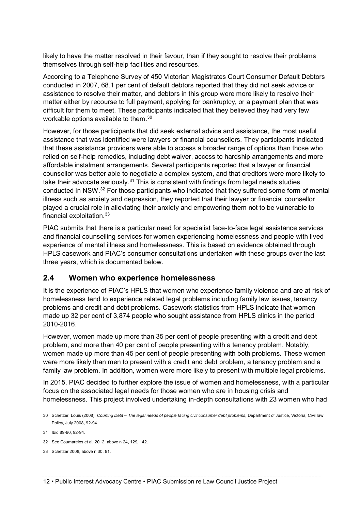likely to have the matter resolved in their favour, than if they sought to resolve their problems themselves through self-help facilities and resources.

According to a Telephone Survey of 450 Victorian Magistrates Court Consumer Default Debtors conducted in 2007, 68.1 per cent of default debtors reported that they did not seek advice or assistance to resolve their matter, and debtors in this group were more likely to resolve their matter either by recourse to full payment, applying for bankruptcy, or a payment plan that was difficult for them to meet. These participants indicated that they believed they had very few workable options available to them.30

However, for those participants that did seek external advice and assistance, the most useful assistance that was identified were lawyers or financial counsellors. They participants indicated that these assistance providers were able to access a broader range of options than those who relied on self-help remedies, including debt waiver, access to hardship arrangements and more affordable instalment arrangements. Several participants reported that a lawyer or financial counsellor was better able to negotiate a complex system, and that creditors were more likely to take their advocate seriously. $31$  This is consistent with findings from legal needs studies conducted in NSW.32 For those participants who indicated that they suffered some form of mental illness such as anxiety and depression, they reported that their lawyer or financial counsellor played a crucial role in alleviating their anxiety and empowering them not to be vulnerable to financial exploitation.33

PIAC submits that there is a particular need for specialist face-to-face legal assistance services and financial counselling services for women experiencing homelessness and people with lived experience of mental illness and homelessness. This is based on evidence obtained through HPLS casework and PIAC's consumer consultations undertaken with these groups over the last three years, which is documented below.

## **2.4 Women who experience homelessness**

It is the experience of PIAC's HPLS that women who experience family violence and are at risk of homelessness tend to experience related legal problems including family law issues, tenancy problems and credit and debt problems. Casework statistics from HPLS indicate that women made up 32 per cent of 3,874 people who sought assistance from HPLS clinics in the period 2010-2016.

However, women made up more than 35 per cent of people presenting with a credit and debt problem, and more than 40 per cent of people presenting with a tenancy problem. Notably, women made up more than 45 per cent of people presenting with both problems. These women were more likely than men to present with a credit and debt problem, a tenancy problem and a family law problem. In addition, women were more likely to present with multiple legal problems.

In 2015, PIAC decided to further explore the issue of women and homelessness, with a particular focus on the associated legal needs for those women who are in housing crisis and homelessness. This project involved undertaking in-depth consultations with 23 women who had

 <sup>30</sup> Schetzer, Louis (2008), *Courting Debt – The legal needs of people facing civil consumer debt problems*, Department of Justice, Victoria, Civil law Policy, July 2008, 92-94.

<sup>31</sup> Ibid 89-90, 92-94.

<sup>32</sup> See Coumarelos et al, 2012, above n 24, 129, 142.

<sup>33</sup> Schetzer 2008, above n 30, 91.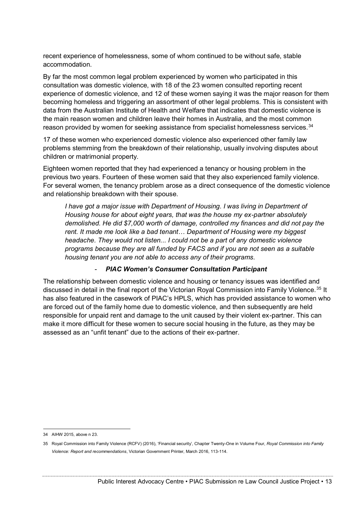recent experience of homelessness, some of whom continued to be without safe, stable accommodation.

By far the most common legal problem experienced by women who participated in this consultation was domestic violence, with 18 of the 23 women consulted reporting recent experience of domestic violence, and 12 of these women saying it was the major reason for them becoming homeless and triggering an assortment of other legal problems. This is consistent with data from the Australian Institute of Health and Welfare that indicates that domestic violence is the main reason women and children leave their homes in Australia, and the most common reason provided by women for seeking assistance from specialist homelessness services.<sup>34</sup>

17 of these women who experienced domestic violence also experienced other family law problems stemming from the breakdown of their relationship, usually involving disputes about children or matrimonial property.

Eighteen women reported that they had experienced a tenancy or housing problem in the previous two years. Fourteen of these women said that they also experienced family violence. For several women, the tenancy problem arose as a direct consequence of the domestic violence and relationship breakdown with their spouse.

*I have got a major issue with Department of Housing. I was living in Department of Housing house for about eight years, that was the house my ex-partner absolutely demolished. He did \$7,000 worth of damage, controlled my finances and did not pay the rent. It made me look like a bad tenant… Department of Housing were my biggest headache. They would not listen... I could not be a part of any domestic violence programs because they are all funded by FACS and if you are not seen as a suitable housing tenant you are not able to access any of their programs.* 

#### - *PIAC Women's Consumer Consultation Participant*

The relationship between domestic violence and housing or tenancy issues was identified and discussed in detail in the final report of the Victorian Royal Commission into Family Violence.<sup>35</sup> It has also featured in the casework of PIAC's HPLS, which has provided assistance to women who are forced out of the family home due to domestic violence, and then subsequently are held responsible for unpaid rent and damage to the unit caused by their violent ex-partner. This can make it more difficult for these women to secure social housing in the future, as they may be assessed as an "unfit tenant" due to the actions of their ex-partner.

 <sup>34</sup> AIHW 2015, above n 23.

<sup>35</sup> Royal Commission into Family Violence (RCFV) (2016), 'Financial security', Chapter Twenty-One in Volume Four, *Royal Commission into Family Violence: Report and recommendations*, Victorian Government Printer, March 2016, 113-114.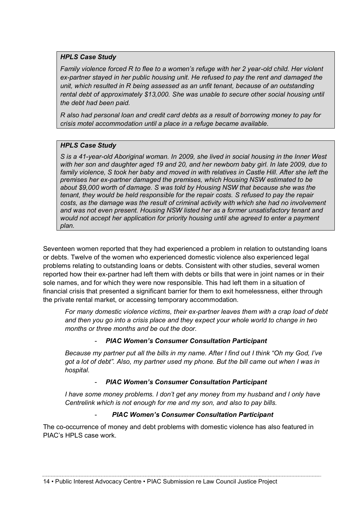#### *HPLS Case Study*

*Family violence forced R to flee to a women's refuge with her 2 year-old child. Her violent ex-partner stayed in her public housing unit. He refused to pay the rent and damaged the unit, which resulted in R being assessed as an unfit tenant, because of an outstanding rental debt of approximately \$13,000. She was unable to secure other social housing until the debt had been paid.* 

*R also had personal loan and credit card debts as a result of borrowing money to pay for crisis motel accommodation until a place in a refuge became available.*

#### *HPLS Case Study*

*S is a 41-year-old Aboriginal woman. In 2009, she lived in social housing in the Inner West with her son and daughter aged 19 and 20, and her newborn baby girl. In late 2009, due to family violence, S took her baby and moved in with relatives in Castle Hill. After she left the premises her ex-partner damaged the premises, which Housing NSW estimated to be about \$9,000 worth of damage. S was told by Housing NSW that because she was the tenant, they would be held responsible for the repair costs. S refused to pay the repair costs, as the damage was the result of criminal activity with which she had no involvement and was not even present. Housing NSW listed her as a former unsatisfactory tenant and would not accept her application for priority housing until she agreed to enter a payment plan.*

Seventeen women reported that they had experienced a problem in relation to outstanding loans or debts. Twelve of the women who experienced domestic violence also experienced legal problems relating to outstanding loans or debts. Consistent with other studies, several women reported how their ex-partner had left them with debts or bills that were in joint names or in their sole names, and for which they were now responsible. This had left them in a situation of financial crisis that presented a significant barrier for them to exit homelessness, either through the private rental market, or accessing temporary accommodation.

*For many domestic violence victims, their ex-partner leaves them with a crap load of debt and then you go into a crisis place and they expect your whole world to change in two months or three months and be out the door.*

#### - *PIAC Women's Consumer Consultation Participant*

*Because my partner put all the bills in my name. After I find out I think "Oh my God, I've got a lot of debt". Also, my partner used my phone. But the bill came out when I was in hospital.*

#### - *PIAC Women's Consumer Consultation Participant*

*I have some money problems. I don't get any money from my husband and I only have Centrelink which is not enough for me and my son, and also to pay bills.*

#### - *PIAC Women's Consumer Consultation Participant*

The co-occurrence of money and debt problems with domestic violence has also featured in PIAC's HPLS case work.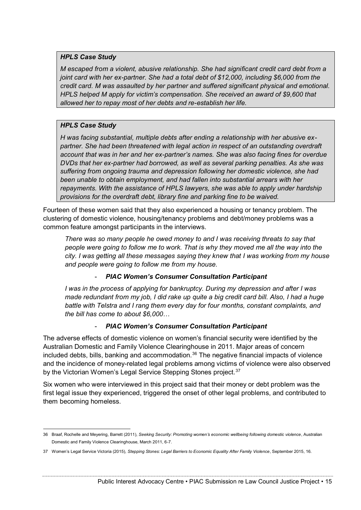#### *HPLS Case Study*

*M escaped from a violent, abusive relationship. She had significant credit card debt from a joint card with her ex-partner. She had a total debt of \$12,000, including \$6,000 from the credit card. M was assaulted by her partner and suffered significant physical and emotional. HPLS helped M apply for victim's compensation. She received an award of \$9,600 that allowed her to repay most of her debts and re-establish her life.*

#### *HPLS Case Study*

*H was facing substantial, multiple debts after ending a relationship with her abusive expartner. She had been threatened with legal action in respect of an outstanding overdraft account that was in her and her ex-partner's names. She was also facing fines for overdue DVDs that her ex-partner had borrowed, as well as several parking penalties. As she was suffering from ongoing trauma and depression following her domestic violence, she had been unable to obtain employment, and had fallen into substantial arrears with her repayments. With the assistance of HPLS lawyers, she was able to apply under hardship provisions for the overdraft debt, library fine and parking fine to be waived.*

Fourteen of these women said that they also experienced a housing or tenancy problem. The clustering of domestic violence, housing/tenancy problems and debt/money problems was a common feature amongst participants in the interviews.

*There was so many people he owed money to and I was receiving threats to say that people were going to follow me to work. That is why they moved me all the way into the city. I was getting all these messages saying they knew that I was working from my house and people were going to follow me from my house.*

#### - *PIAC Women's Consumer Consultation Participant*

*I was in the process of applying for bankruptcy. During my depression and after I was made redundant from my job, I did rake up quite a big credit card bill. Also, I had a huge battle with Telstra and I rang them every day for four months, constant complaints, and the bill has come to about \$6,000…*

#### - *PIAC Women's Consumer Consultation Participant*

The adverse effects of domestic violence on women's financial security were identified by the Australian Domestic and Family Violence Clearinghouse in 2011. Major areas of concern included debts, bills, banking and accommodation.<sup>36</sup> The negative financial impacts of violence and the incidence of money-related legal problems among victims of violence were also observed by the Victorian Women's Legal Service Stepping Stones project.<sup>37</sup>

Six women who were interviewed in this project said that their money or debt problem was the first legal issue they experienced, triggered the onset of other legal problems, and contributed to them becoming homeless.

 <sup>36</sup> Braaf, Rochelle and Meyering, Barrett (2011), *Seeking Security: Promoting women's economic wellbeing following domestic violence*, Australian Domestic and Family Violence Clearinghouse, March 2011, 6-7.

<sup>37</sup> Women's Legal Service Victoria (2015), *Stepping Stones: Legal Barriers to Economic Equality After Family Violence*, September 2015, 16.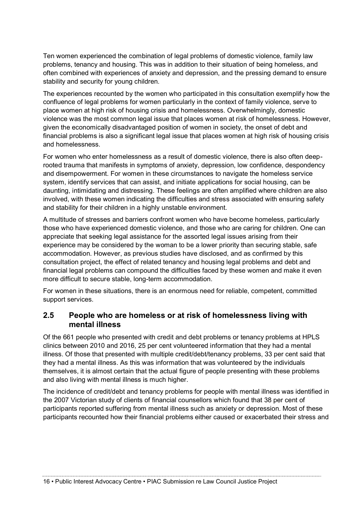Ten women experienced the combination of legal problems of domestic violence, family law problems, tenancy and housing. This was in addition to their situation of being homeless, and often combined with experiences of anxiety and depression, and the pressing demand to ensure stability and security for young children.

The experiences recounted by the women who participated in this consultation exemplify how the confluence of legal problems for women particularly in the context of family violence, serve to place women at high risk of housing crisis and homelessness. Overwhelmingly, domestic violence was the most common legal issue that places women at risk of homelessness. However, given the economically disadvantaged position of women in society, the onset of debt and financial problems is also a significant legal issue that places women at high risk of housing crisis and homelessness.

For women who enter homelessness as a result of domestic violence, there is also often deeprooted trauma that manifests in symptoms of anxiety, depression, low confidence, despondency and disempowerment. For women in these circumstances to navigate the homeless service system, identify services that can assist, and initiate applications for social housing, can be daunting, intimidating and distressing. These feelings are often amplified where children are also involved, with these women indicating the difficulties and stress associated with ensuring safety and stability for their children in a highly unstable environment.

A multitude of stresses and barriers confront women who have become homeless, particularly those who have experienced domestic violence, and those who are caring for children. One can appreciate that seeking legal assistance for the assorted legal issues arising from their experience may be considered by the woman to be a lower priority than securing stable, safe accommodation. However, as previous studies have disclosed, and as confirmed by this consultation project, the effect of related tenancy and housing legal problems and debt and financial legal problems can compound the difficulties faced by these women and make it even more difficult to secure stable, long-term accommodation.

For women in these situations, there is an enormous need for reliable, competent, committed support services.

## **2.5 People who are homeless or at risk of homelessness living with mental illness**

Of the 661 people who presented with credit and debt problems or tenancy problems at HPLS clinics between 2010 and 2016, 25 per cent volunteered information that they had a mental illness. Of those that presented with multiple credit/debt/tenancy problems, 33 per cent said that they had a mental illness. As this was information that was volunteered by the individuals themselves, it is almost certain that the actual figure of people presenting with these problems and also living with mental illness is much higher.

The incidence of credit/debt and tenancy problems for people with mental illness was identified in the 2007 Victorian study of clients of financial counsellors which found that 38 per cent of participants reported suffering from mental illness such as anxiety or depression. Most of these participants recounted how their financial problems either caused or exacerbated their stress and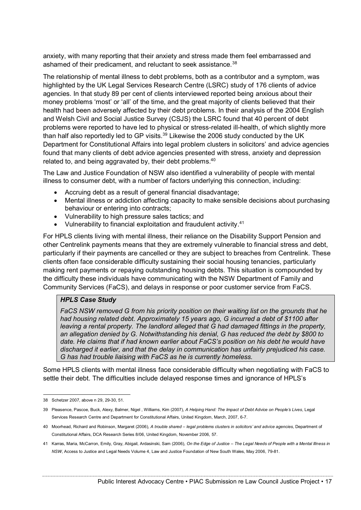anxiety, with many reporting that their anxiety and stress made them feel embarrassed and ashamed of their predicament, and reluctant to seek assistance.<sup>38</sup>

The relationship of mental illness to debt problems, both as a contributor and a symptom, was highlighted by the UK Legal Services Research Centre (LSRC) study of 176 clients of advice agencies. In that study 89 per cent of clients interviewed reported being anxious about their money problems 'most' or 'all' of the time, and the great majority of clients believed that their health had been adversely affected by their debt problems. In their analysis of the 2004 English and Welsh Civil and Social Justice Survey (CSJS) the LSRC found that 40 percent of debt problems were reported to have led to physical or stress-related ill-health, of which slightly more than half also reportedly led to GP visits. $39$  Likewise the 2006 study conducted by the UK Department for Constitutional Affairs into legal problem clusters in solicitors' and advice agencies found that many clients of debt advice agencies presented with stress, anxiety and depression related to, and being aggravated by, their debt problems.<sup>40</sup>

The Law and Justice Foundation of NSW also identified a vulnerability of people with mental illness to consumer debt, with a number of factors underlying this connection, including:

- Accruing debt as a result of general financial disadvantage;
- Mental illness or addiction affecting capacity to make sensible decisions about purchasing behaviour or entering into contracts;
- Vulnerability to high pressure sales tactics; and
- Vulnerability to financial exploitation and fraudulent activity.<sup>41</sup>

For HPLS clients living with mental illness, their reliance on the Disability Support Pension and other Centrelink payments means that they are extremely vulnerable to financial stress and debt, particularly if their payments are cancelled or they are subject to breaches from Centrelink. These clients often face considerable difficulty sustaining their social housing tenancies, particularly making rent payments or repaying outstanding housing debts. This situation is compounded by the difficulty these individuals have communicating with the NSW Department of Family and Community Services (FaCS), and delays in response or poor customer service from FaCS.

#### *HPLS Case Study*

*FaCS NSW removed G from his priority position on their waiting list on the grounds that he had housing related debt. Approximately 15 years ago, G incurred a debt of \$1100 after leaving a rental property. The landlord alleged that G had damaged fittings in the property, an allegation denied by G. Notwithstanding his denial, G has reduced the debt by \$800 to date. He claims that if had known earlier about FaCS's position on his debt he would have discharged it earlier, and that the delay in communication has unfairly prejudiced his case. G has had trouble liaising with FaCS as he is currently homeless.*

Some HPLS clients with mental illness face considerable difficulty when negotiating with FaCS to settle their debt. The difficulties include delayed response times and ignorance of HPLS's

 <sup>38</sup> Schetzer 2007, above n 29, 29-30, 51.

<sup>39</sup> Pleasence, Pascoe, Buck, Alexy, Balmer, Nigel , Williams, Kim (2007), *A Helping Hand: The Impact of Debt Advice on People's Lives*, Legal Services Research Centre and Department for Constitutional Affairs, United Kingdom, March, 2007, 6-7.

<sup>40</sup> Moorhead, Richard and Robinson, Margaret (2006), *A trouble shared – legal problems clusters in solicitors' and advice agencies*, Department of Constitutional Affairs, DCA Research Series 8/06, United Kingdom, November 2006, 57.

<sup>41</sup> Karras, Maria, McCarron, Emily, Gray, Abigail, Ardasinski, Sam (2006), *On the Edge of Justice – The Legal Needs of People with a Mental Illness in NSW*, Access to Justice and Legal Needs Volume 4, Law and Justice Foundation of New South Wales, May 2006, 79-81.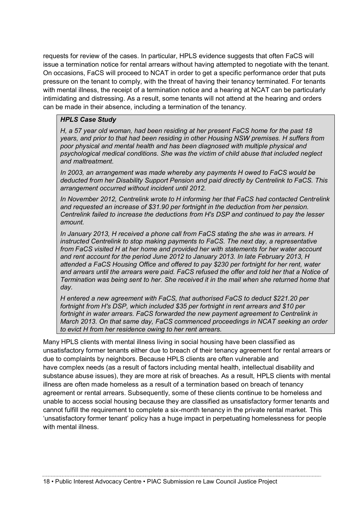requests for review of the cases. In particular, HPLS evidence suggests that often FaCS will issue a termination notice for rental arrears without having attempted to negotiate with the tenant. On occasions, FaCS will proceed to NCAT in order to get a specific performance order that puts pressure on the tenant to comply, with the threat of having their tenancy terminated. For tenants with mental illness, the receipt of a termination notice and a hearing at NCAT can be particularly intimidating and distressing. As a result, some tenants will not attend at the hearing and orders can be made in their absence, including a termination of the tenancy.

#### *HPLS Case Study*

*H, a 57 year old woman, had been residing at her present FaCS home for the past 18 years, and prior to that had been residing in other Housing NSW premises. H suffers from poor physical and mental health and has been diagnosed with multiple physical and psychological medical conditions. She was the victim of child abuse that included neglect and maltreatment.*

*In 2003, an arrangement was made whereby any payments H owed to FaCS would be deducted from her Disability Support Pension and paid directly by Centrelink to FaCS. This arrangement occurred without incident until 2012.*

*In November 2012, Centrelink wrote to H informing her that FaCS had contacted Centrelink and requested an increase of \$31.90 per fortnight in the deduction from her pension. Centrelink failed to increase the deductions from H's DSP and continued to pay the lesser amount.*

*In January 2013, H received a phone call from FaCS stating the she was in arrears. H instructed Centrelink to stop making payments to FaCS. The next day, a representative from FaCS visited H at her home and provided her with statements for her water account and rent account for the period June 2012 to January 2013. In late February 2013, H attended a FaCS Housing Office and offered to pay \$230 per fortnight for her rent, water and arrears until the arrears were paid. FaCS refused the offer and told her that a Notice of Termination was being sent to her. She received it in the mail when she returned home that day.*

*H entered a new agreement with FaCS, that authorised FaCS to deduct \$221.20 per fortnight from H's DSP, which included \$35 per fortnight in rent arrears and \$10 per*  fortnight in water arrears. FaCS forwarded the new payment agreement to Centrelink in *March 2013. On that same day, FaCS commenced proceedings in NCAT seeking an order to evict H from her residence owing to her rent arrears.*

Many HPLS clients with mental illness living in social housing have been classified as unsatisfactory former tenants either due to breach of their tenancy agreement for rental arrears or due to complaints by neighbors. Because HPLS clients are often vulnerable and have complex needs (as a result of factors including mental health, intellectual disability and substance abuse issues), they are more at risk of breaches. As a result, HPLS clients with mental illness are often made homeless as a result of a termination based on breach of tenancy agreement or rental arrears. Subsequently, some of these clients continue to be homeless and unable to access social housing because they are classified as unsatisfactory former tenants and cannot fulfill the requirement to complete a six-month tenancy in the private rental market. This 'unsatisfactory former tenant' policy has a huge impact in perpetuating homelessness for people with mental illness.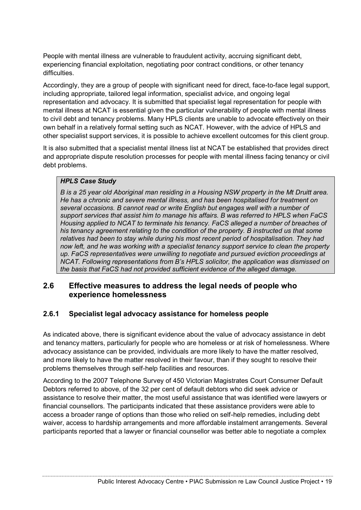People with mental illness are vulnerable to fraudulent activity, accruing significant debt, experiencing financial exploitation, negotiating poor contract conditions, or other tenancy difficulties.

Accordingly, they are a group of people with significant need for direct, face-to-face legal support, including appropriate, tailored legal information, specialist advice, and ongoing legal representation and advocacy. It is submitted that specialist legal representation for people with mental illness at NCAT is essential given the particular vulnerability of people with mental illness to civil debt and tenancy problems. Many HPLS clients are unable to advocate effectively on their own behalf in a relatively formal setting such as NCAT. However, with the advice of HPLS and other specialist support services, it is possible to achieve excellent outcomes for this client group.

It is also submitted that a specialist mental illness list at NCAT be established that provides direct and appropriate dispute resolution processes for people with mental illness facing tenancy or civil debt problems.

### *HPLS Case Study*

*B is a 25 year old Aboriginal man residing in a Housing NSW property in the Mt Druitt area. He has a chronic and severe mental illness, and has been hospitalised for treatment on several occasions. B cannot read or write English but engages well with a number of support services that assist him to manage his affairs. B was referred to HPLS when FaCS Housing applied to NCAT to terminate his tenancy. FaCS alleged a number of breaches of his tenancy agreement relating to the condition of the property. B instructed us that some relatives had been to stay while during his most recent period of hospitalisation. They had now left, and he was working with a specialist tenancy support service to clean the property up. FaCS representatives were unwilling to negotiate and pursued eviction proceedings at NCAT. Following representations from B's HPLS solicitor, the application was dismissed on the basis that FaCS had not provided sufficient evidence of the alleged damage.* 

## **2.6 Effective measures to address the legal needs of people who experience homelessness**

## **2.6.1 Specialist legal advocacy assistance for homeless people**

As indicated above, there is significant evidence about the value of advocacy assistance in debt and tenancy matters, particularly for people who are homeless or at risk of homelessness. Where advocacy assistance can be provided, individuals are more likely to have the matter resolved, and more likely to have the matter resolved in their favour, than if they sought to resolve their problems themselves through self-help facilities and resources.

According to the 2007 Telephone Survey of 450 Victorian Magistrates Court Consumer Default Debtors referred to above, of the 32 per cent of default debtors who did seek advice or assistance to resolve their matter, the most useful assistance that was identified were lawyers or financial counsellors. The participants indicated that these assistance providers were able to access a broader range of options than those who relied on self-help remedies, including debt waiver, access to hardship arrangements and more affordable instalment arrangements. Several participants reported that a lawyer or financial counsellor was better able to negotiate a complex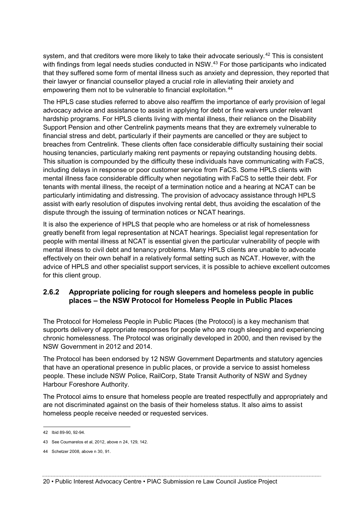system, and that creditors were more likely to take their advocate seriously.<sup>42</sup> This is consistent with findings from legal needs studies conducted in NSW.<sup>43</sup> For those participants who indicated that they suffered some form of mental illness such as anxiety and depression, they reported that their lawyer or financial counsellor played a crucial role in alleviating their anxiety and empowering them not to be vulnerable to financial exploitation.<sup>44</sup>

The HPLS case studies referred to above also reaffirm the importance of early provision of legal advocacy advice and assistance to assist in applying for debt or fine waivers under relevant hardship programs. For HPLS clients living with mental illness, their reliance on the Disability Support Pension and other Centrelink payments means that they are extremely vulnerable to financial stress and debt, particularly if their payments are cancelled or they are subject to breaches from Centrelink. These clients often face considerable difficulty sustaining their social housing tenancies, particularly making rent payments or repaying outstanding housing debts. This situation is compounded by the difficulty these individuals have communicating with FaCS, including delays in response or poor customer service from FaCS. Some HPLS clients with mental illness face considerable difficulty when negotiating with FaCS to settle their debt. For tenants with mental illness, the receipt of a termination notice and a hearing at NCAT can be particularly intimidating and distressing. The provision of advocacy assistance through HPLS assist with early resolution of disputes involving rental debt, thus avoiding the escalation of the dispute through the issuing of termination notices or NCAT hearings.

It is also the experience of HPLS that people who are homeless or at risk of homelessness greatly benefit from legal representation at NCAT hearings. Specialist legal representation for people with mental illness at NCAT is essential given the particular vulnerability of people with mental illness to civil debt and tenancy problems. Many HPLS clients are unable to advocate effectively on their own behalf in a relatively formal setting such as NCAT. However, with the advice of HPLS and other specialist support services, it is possible to achieve excellent outcomes for this client group.

## **2.6.2 Appropriate policing for rough sleepers and homeless people in public places – the NSW Protocol for Homeless People in Public Places**

The Protocol for Homeless People in Public Places (the Protocol) is a key mechanism that supports delivery of appropriate responses for people who are rough sleeping and experiencing chronic homelessness. The Protocol was originally developed in 2000, and then revised by the NSW Government in 2012 and 2014.

The Protocol has been endorsed by 12 NSW Government Departments and statutory agencies that have an operational presence in public places, or provide a service to assist homeless people. These include NSW Police, RailCorp, State Transit Authority of NSW and Sydney Harbour Foreshore Authority.

The Protocol aims to ensure that homeless people are treated respectfully and appropriately and are not discriminated against on the basis of their homeless status. It also aims to assist homeless people receive needed or requested services.

 <sup>42</sup> Ibid 89-90, 92-94.

<sup>43</sup> See Coumarelos et al, 2012, above n 24, 129, 142.

<sup>44</sup> Schetzer 2008, above n 30, 91.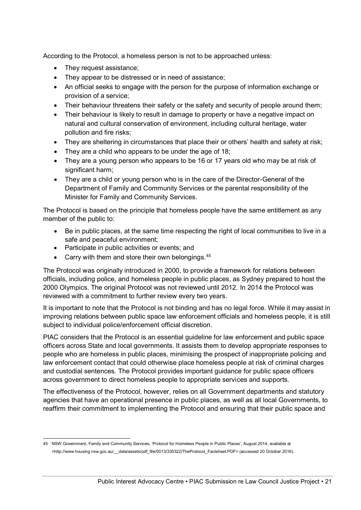According to the Protocol, a homeless person is not to be approached unless:

- They request assistance;
- They appear to be distressed or in need of assistance;
- An official seeks to engage with the person for the purpose of information exchange or provision of a service;
- Their behaviour threatens their safety or the safety and security of people around them;
- Their behaviour is likely to result in damage to property or have a negative impact on natural and cultural conservation of environment, including cultural heritage, water pollution and fire risks;
- They are sheltering in circumstances that place their or others' health and safety at risk;
- They are a child who appears to be under the age of 18;
- They are a young person who appears to be 16 or 17 years old who may be at risk of significant harm:
- They are a child or young person who is in the care of the Director-General of the Department of Family and Community Services or the parental responsibility of the Minister for Family and Community Services.

The Protocol is based on the principle that homeless people have the same entitlement as any member of the public to:

- Be in public places, at the same time respecting the right of local communities to live in a safe and peaceful environment;
- Participate in public activities or events; and
- Carry with them and store their own belongings.<sup>45</sup>

The Protocol was originally introduced in 2000, to provide a framework for relations between officials, including police, and homeless people in public places, as Sydney prepared to host the 2000 Olympics. The original Protocol was not reviewed until 2012. In 2014 the Protocol was reviewed with a commitment to further review every two years.

It is important to note that the Protocol is not binding and has no legal force. While it may assist in improving relations between public space law enforcement officials and homeless people, it is still subject to individual police/enforcement official discretion.

PIAC considers that the Protocol is an essential guideline for law enforcement and public space officers across State and local governments. It assists them to develop appropriate responses to people who are homeless in public places, minimising the prospect of inappropriate policing and law enforcement contact that could otherwise place homeless people at risk of criminal charges and custodial sentences. The Protocol provides important guidance for public space officers across government to direct homeless people to appropriate services and supports.

The effectiveness of the Protocol, however, relies on all Government departments and statutory agencies that have an operational presence in public places, as well as all local Governments, to reaffirm their commitment to implementing the Protocol and ensuring that their public space and

 <sup>45</sup> NSW Government, Family and Community Services, 'Protocol for Homeless People in Public Places', August 2014, available at <http://www.housing.nsw.gov.au/\_\_data/assets/pdf\_file/0013/330322/TheProtocol\_Factsheet.PDF> (accessed 20 October 2016).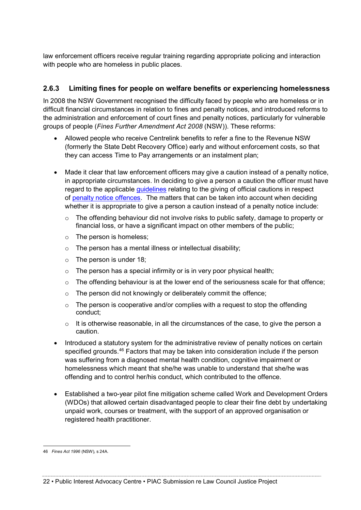law enforcement officers receive regular training regarding appropriate policing and interaction with people who are homeless in public places.

## **2.6.3 Limiting fines for people on welfare benefits or experiencing homelessness**

In 2008 the NSW Government recognised the difficulty faced by people who are homeless or in difficult financial circumstances in relation to fines and penalty notices, and introduced reforms to the administration and enforcement of court fines and penalty notices, particularly for vulnerable groups of people (*Fines Further Amendment Act 2008* (NSW)). These reforms:

- Allowed people who receive Centrelink benefits to refer a fine to the Revenue NSW (formerly the State Debt Recovery Office) early and without enforcement costs, so that they can access Time to Pay arrangements or an instalment plan;
- Made it clear that law enforcement officers may give a caution instead of a penalty notice, in appropriate circumstances. In deciding to give a person a caution the officer must have regard to the applicable [guidelines](http://www.austlii.edu.au/au/legis/nsw/consol_act/fa199669/s19a.html#guidelines) relating to the giving of official cautions in respect of [penalty notice offences.](http://www.austlii.edu.au/au/legis/nsw/consol_act/fa199669/s3.html#penalty_notice_offence) The matters that can be taken into account when deciding whether it is appropriate to give a person a caution instead of a penalty notice include:
	- o The offending behaviour did not involve risks to public safety, damage to property or financial loss, or have a significant impact on other members of the public;
	- $\circ$  The person is homeless;
	- $\circ$  The person has a mental illness or intellectual disability;
	- $\circ$  The person is under 18;
	- $\circ$  The person has a special infirmity or is in very poor physical health:
	- $\circ$  The offending behaviour is at the lower end of the seriousness scale for that offence:
	- o The person did not knowingly or deliberately commit the offence;
	- $\circ$  The person is cooperative and/or complies with a request to stop the offending conduct;
	- $\circ$  It is otherwise reasonable, in all the circumstances of the case, to give the person a caution.
- Introduced a statutory system for the administrative review of penalty notices on certain specified grounds.<sup>46</sup> Factors that may be taken into consideration include if the person was suffering from a diagnosed mental health condition, cognitive impairment or homelessness which meant that she/he was unable to understand that she/he was offending and to control her/his conduct, which contributed to the offence.
- Established a two-year pilot fine mitigation scheme called Work and Development Orders (WDOs) that allowed certain disadvantaged people to clear their fine debt by undertaking unpaid work, courses or treatment, with the support of an approved organisation or registered health practitioner.

 <sup>46</sup> *Fines Act 1996* (NSW), s 24A.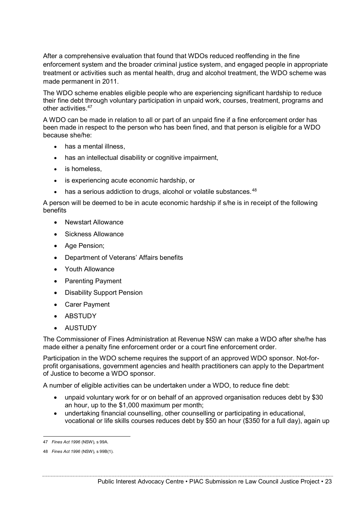After a comprehensive evaluation that found that WDOs reduced reoffending in the fine enforcement system and the broader criminal justice system, and engaged people in appropriate treatment or activities such as mental health, drug and alcohol treatment, the WDO scheme was made permanent in 2011.

The WDO scheme enables eligible people who are experiencing significant hardship to reduce their fine debt through voluntary participation in unpaid work, courses, treatment, programs and other activities.<sup>47</sup>

A WDO can be made in relation to all or part of an unpaid fine if a fine enforcement order has been made in respect to the person who has been fined, and that person is eligible for a WDO because she/he:

- has a mental illness,
- has an intellectual disability or cognitive impairment,
- is homeless,
- is experiencing acute economic hardship, or
- has a serious addiction to drugs, alcohol or volatile substances.  $48$

A person will be deemed to be in acute economic hardship if s/he is in receipt of the following benefits

- Newstart Allowance
- Sickness Allowance
- Age Pension;
- Department of Veterans' Affairs benefits
- Youth Allowance
- Parenting Payment
- Disability Support Pension
- Carer Payment
- ABSTUDY
- AUSTUDY

The Commissioner of Fines Administration at Revenue NSW can make a WDO after she/he has made either a penalty fine enforcement order or a court fine enforcement order.

Participation in the WDO scheme requires the support of an approved WDO sponsor. Not-forprofit organisations, government agencies and health practitioners can apply to the Department of Justice to become a WDO sponsor.

A number of eligible activities can be undertaken under a WDO, to reduce fine debt:

- unpaid voluntary work for or on behalf of an approved organisation reduces debt by \$30 an hour, up to the \$1,000 maximum per month;
- undertaking financial counselling, other counselling or participating in educational, vocational or life skills courses reduces debt by \$50 an hour (\$350 for a full day), again up

 <sup>47</sup> *Fines Act 1996* (NSW), s 99A.

<sup>48</sup> *Fines Act 1996* (NSW), s 99B(1).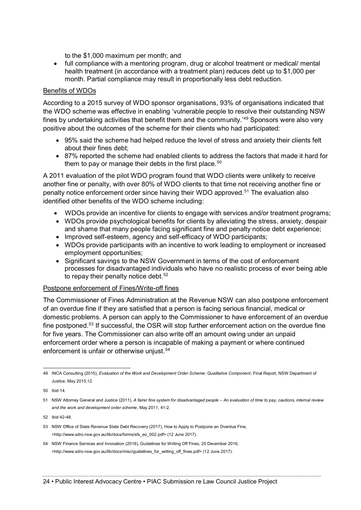to the \$1,000 maximum per month; and

• full compliance with a mentoring program, drug or alcohol treatment or medical/ mental health treatment (in accordance with a treatment plan) reduces debt up to \$1,000 per month. Partial compliance may result in proportionally less debt reduction.

#### Benefits of WDOs

According to a 2015 survey of WDO sponsor organisations, 93% of organisations indicated that the WDO scheme was effective in enabling 'vulnerable people to resolve their outstanding NSW fines by undertaking activities that benefit them and the community.<sup>49</sup> Sponsors were also very positive about the outcomes of the scheme for their clients who had participated:

- 95% said the scheme had helped reduce the level of stress and anxiety their clients felt about their fines debt;
- 87% reported the scheme had enabled clients to address the factors that made it hard for them to pay or manage their debts in the first place.<sup>50</sup>

A 2011 evaluation of the pilot WDO program found that WDO clients were unlikely to receive another fine or penalty, with over 80% of WDO clients to that time not receiving another fine or penalty notice enforcement order since having their WDO approved.51 The evaluation also identified other benefits of the WDO scheme including:

- WDOs provide an incentive for clients to engage with services and/or treatment programs;
- WDOs provide psychological benefits for clients by alleviating the stress, anxiety, despair and shame that many people facing significant fine and penalty notice debt experience;
- Improved self-esteem, agency and self-efficacy of WDO participants;
- WDOs provide participants with an incentive to work leading to employment or increased employment opportunities;
- Significant savings to the NSW Government in terms of the cost of enforcement processes for disadvantaged individuals who have no realistic process of ever being able to repay their penalty notice debt.<sup>52</sup>

#### Postpone enforcement of Fines/Write-off fines

The Commissioner of Fines Administration at the Revenue NSW can also postpone enforcement of an overdue fine if they are satisfied that a person is facing serious financial, medical or domestic problems. A person can apply to the Commissioner to have enforcement of an overdue fine postponed.53 If successful, the OSR will stop further enforcement action on the overdue fine for five years. The Commissioner can also write off an amount owing under an unpaid enforcement order where a person is incapable of making a payment or where continued enforcement is unfair or otherwise unjust.<sup>54</sup>

 <sup>49</sup> INCA Consulting (2015), *Evaluation of the Work and Development Order Scheme: Qualitative Component*, Final Report, NSW Department of Justice, May 2015,12.

<sup>50</sup> Ibid 14.

<sup>51</sup> NSW Attorney General and Justice (2011), *A fairer fine system for disadvantaged people – An evaluation of time to pay, cautions, internal review and the work and development order scheme*, May 2011, 41-2.

<sup>52</sup> Ibid 42-48.

<sup>53</sup> NSW Office of State Revenue State Debt Recovery (2017), How to Apply to Postpone an Overdue Fine, <http://www.sdro.nsw.gov.au/lib/docs/forms/sfs\_eo\_002.pdf> (12 June 2017).

<sup>54</sup> NSW Finance Services and Innovation (2016), Guidelines for Writing Off Fines, 20 December 2016, <http://www.sdro.nsw.gov.au/lib/docs/misc/guidelines\_for\_writing\_off\_fines.pdf> (12 June 2017).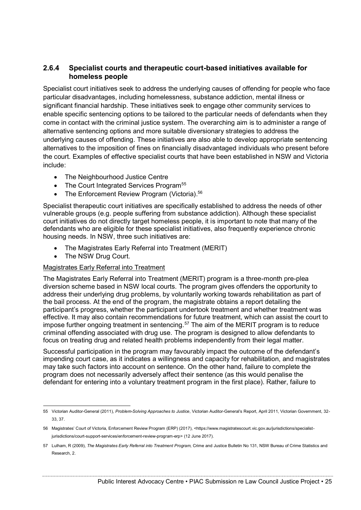### **2.6.4 Specialist courts and therapeutic court-based initiatives available for homeless people**

Specialist court initiatives seek to address the underlying causes of offending for people who face particular disadvantages, including homelessness, substance addiction, mental illness or significant financial hardship. These initiatives seek to engage other community services to enable specific sentencing options to be tailored to the particular needs of defendants when they come in contact with the criminal justice system. The overarching aim is to administer a range of alternative sentencing options and more suitable diversionary strategies to address the underlying causes of offending. These initiatives are also able to develop appropriate sentencing alternatives to the imposition of fines on financially disadvantaged individuals who present before the court. Examples of effective specialist courts that have been established in NSW and Victoria include:

- The Neighbourhood Justice Centre
- The Court Integrated Services Program<sup>55</sup>
- The Enforcement Review Program (Victoria).<sup>56</sup>

Specialist therapeutic court initiatives are specifically established to address the needs of other vulnerable groups (e.g. people suffering from substance addiction). Although these specialist court initiatives do not directly target homeless people, it is important to note that many of the defendants who are eligible for these specialist initiatives, also frequently experience chronic housing needs. In NSW, three such initiatives are:

- The Magistrates Early Referral into Treatment (MERIT)
- The NSW Drug Court.

#### Magistrates Early Referral into Treatment

The Magistrates Early Referral into Treatment (MERIT) program is a three-month pre-plea diversion scheme based in NSW local courts. The program gives offenders the opportunity to address their underlying drug problems, by voluntarily working towards rehabilitation as part of the bail process. At the end of the program, the magistrate obtains a report detailing the participant's progress, whether the participant undertook treatment and whether treatment was effective. It may also contain recommendations for future treatment, which can assist the court to impose further ongoing treatment in sentencing.<sup>57</sup> The aim of the MERIT program is to reduce criminal offending associated with drug use. The program is designed to allow defendants to focus on treating drug and related health problems independently from their legal matter.

Successful participation in the program may favourably impact the outcome of the defendant's impending court case, as it indicates a willingness and capacity for rehabilitation, and magistrates may take such factors into account on sentence. On the other hand, failure to complete the program does not necessarily adversely affect their sentence (as this would penalise the defendant for entering into a voluntary treatment program in the first place). Rather, failure to

 <sup>55</sup> Victorian Auditor-General (2011), *Problem-Solving Approaches to Justice*, Victorian Auditor-General's Report, April 2011, Victorian Government, 32- 33, 37.

<sup>56</sup> Magistrates' Court of Victoria, Enforcement Review Program (ERP) (2017), <https://www.magistratescourt.vic.gov.au/jurisdictions/specialistjurisdictions/court-support-services/enforcement-review-program-erp> (12 June 2017).

<sup>57</sup> Lulham, R (2009), *The Magistrates Early Referral into Treatment Program*, Crime and Justice Bulletin No 131, NSW Bureau of Crime Statistics and Research, 2.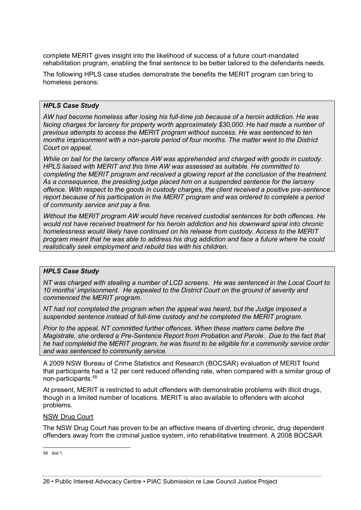complete MERIT gives insight into the likelihood of success of a future court-mandated rehabilitation program, enabling the final sentence to be better tailored to the defendants needs.

The following HPLS case studies demonstrate the benefits the MERIT program can bring to homeless persons:

#### *HPLS Case Study*

*AW had become homeless after losing his full-time job because of a heroin addiction. He was facing charges for larceny for property worth approximately \$30,000. He had made a number of previous attempts to access the MERIT program without success. He was sentenced to ten months imprisonment with a non-parole period of four months. The matter went to the District Court on appeal.*

*While on bail for the larceny offence AW was apprehended and charged with goods in custody. HPLS liaised with MERIT and this time AW was assessed as suitable. He committed to completing the MERIT program and received a glowing report at the conclusion of the treatment. As a consequence, the presiding judge placed him on a suspended sentence for the larceny offence. With respect to the goods in custody charges, the client received a positive pre-sentence report because of his participation in the MERIT program and was ordered to complete a period of community service and pay a fine.*

*Without the MERIT program AW would have received custodial sentences for both offences. He would not have received treatment for his heroin addiction and his downward spiral into chronic homelessness would likely have continued on his release from custody. Access to the MERIT program meant that he was able to address his drug addiction and face a future where he could realistically seek employment and rebuild ties with his children.*

#### *HPLS Case Study*

*NT was charged with stealing a number of LCD screens. He was sentenced in the Local Court to 10 months' imprisonment. He appealed to the District Court on the ground of severity and commenced the MERIT program.* 

*NT had not completed the program when the appeal was heard, but the Judge imposed a suspended sentence instead of full-time custody and he completed the MERIT program.* 

*Prior to the appeal, NT committed further offences. When these matters came before the Magistrate, she ordered a Pre-Sentence Report from Probation and Parole. Due to the fact that he had completed the MERIT program, he was found to be eligible for a community service order and was sentenced to community service.* 

A 2009 NSW Bureau of Crime Statistics and Research (BOCSAR) evaluation of MERIT found that participants had a 12 per cent reduced offending rate, when compared with a similar group of non-participants.58

At present, MERIT is restricted to adult offenders with demonstrable problems with illicit drugs, though in a limited number of locations. MERIT is also available to offenders with alcohol problems.

#### NSW Drug Court

The NSW Drug Court has proven to be an effective means of diverting chronic, drug dependent offenders away from the criminal justice system, into rehabilitative treatment. A 2008 BOCSAR

58 Ibid 1.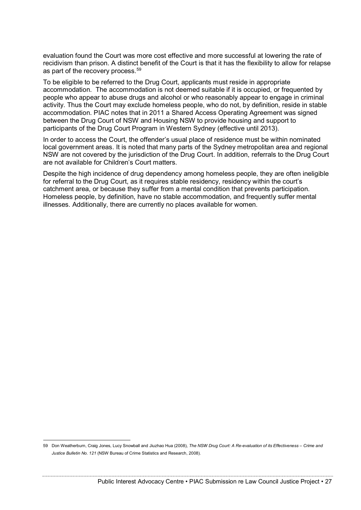evaluation found the Court was more cost effective and more successful at lowering the rate of recidivism than prison. A distinct benefit of the Court is that it has the flexibility to allow for relapse as part of the recovery process.<sup>59</sup>

To be eligible to be referred to the Drug Court, applicants must reside in appropriate accommodation. The accommodation is not deemed suitable if it is occupied, or frequented by people who appear to abuse drugs and alcohol or who reasonably appear to engage in criminal activity. Thus the Court may exclude homeless people, who do not, by definition, reside in stable accommodation. PIAC notes that in 2011 a Shared Access Operating Agreement was signed between the Drug Court of NSW and Housing NSW to provide housing and support to participants of the Drug Court Program in Western Sydney (effective until 2013).

In order to access the Court, the offender's usual place of residence must be within nominated local government areas. It is noted that many parts of the Sydney metropolitan area and regional NSW are not covered by the jurisdiction of the Drug Court. In addition, referrals to the Drug Court are not available for Children's Court matters.

Despite the high incidence of drug dependency among homeless people, they are often ineligible for referral to the Drug Court, as it requires stable residency, residency within the court's catchment area, or because they suffer from a mental condition that prevents participation. Homeless people, by definition, have no stable accommodation, and frequently suffer mental illnesses. Additionally, there are currently no places available for women.

 <sup>59</sup> Don Weatherburn, Craig Jones, Lucy Snowball and Jiuzhao Hua (2008), *The NSW Drug Court: A Re-evaluation of its Effectiveness – Crime and Justice Bulletin No. 121* (NSW Bureau of Crime Statistics and Research, 2008).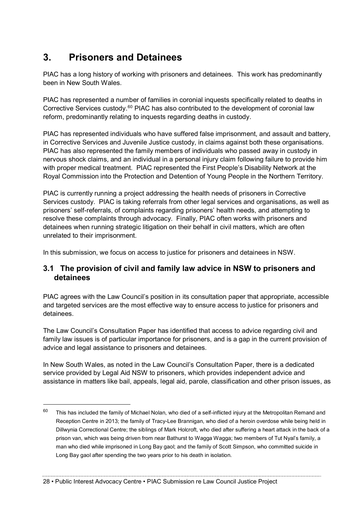# **3. Prisoners and Detainees**

PIAC has a long history of working with prisoners and detainees. This work has predominantly been in New South Wales.

PIAC has represented a number of families in coronial inquests specifically related to deaths in Corrective Services custody.<sup>60</sup> PIAC has also contributed to the development of coronial law reform, predominantly relating to inquests regarding deaths in custody.

PIAC has represented individuals who have suffered false imprisonment, and assault and battery, in Corrective Services and Juvenile Justice custody, in claims against both these organisations. PIAC has also represented the family members of individuals who passed away in custody in nervous shock claims, and an individual in a personal injury claim following failure to provide him with proper medical treatment. PIAC represented the First People's Disability Network at the Royal Commission into the Protection and Detention of Young People in the Northern Territory.

PIAC is currently running a project addressing the health needs of prisoners in Corrective Services custody. PIAC is taking referrals from other legal services and organisations, as well as prisoners' self-referrals, of complaints regarding prisoners' health needs, and attempting to resolve these complaints through advocacy. Finally, PIAC often works with prisoners and detainees when running strategic litigation on their behalf in civil matters, which are often unrelated to their imprisonment.

In this submission, we focus on access to justice for prisoners and detainees in NSW.

## **3.1 The provision of civil and family law advice in NSW to prisoners and detainees**

PIAC agrees with the Law Council's position in its consultation paper that appropriate, accessible and targeted services are the most effective way to ensure access to justice for prisoners and detainees.

The Law Council's Consultation Paper has identified that access to advice regarding civil and family law issues is of particular importance for prisoners, and is a gap in the current provision of advice and legal assistance to prisoners and detainees.

In New South Wales, as noted in the Law Council's Consultation Paper, there is a dedicated service provided by Legal Aid NSW to prisoners, which provides independent advice and assistance in matters like bail, appeals, legal aid, parole, classification and other prison issues, as

 $60$  This has included the family of Michael Nolan, who died of a self-inflicted injury at the Metropolitan Remand and Reception Centre in 2013; the family of Tracy-Lee Brannigan, who died of a heroin overdose while being held in Dillwynia Correctional Centre; the siblings of Mark Holcroft, who died after suffering a heart attack in the back of a prison van, which was being driven from near Bathurst to Wagga Wagga; two members of Tut Nyal's family, a man who died while imprisoned in Long Bay gaol; and the family of Scott Simpson, who committed suicide in Long Bay gaol after spending the two years prior to his death in isolation.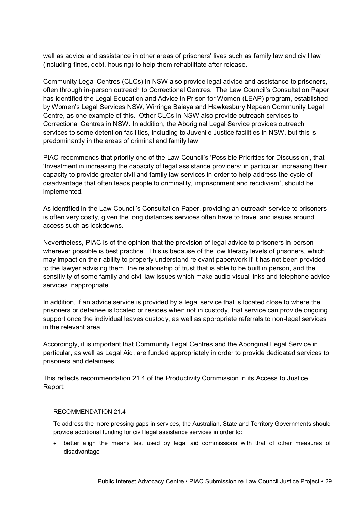well as advice and assistance in other areas of prisoners' lives such as family law and civil law (including fines, debt, housing) to help them rehabilitate after release.

Community Legal Centres (CLCs) in NSW also provide legal advice and assistance to prisoners, often through in-person outreach to Correctional Centres. The Law Council's Consultation Paper has identified the Legal Education and Advice in Prison for Women (LEAP) program, established by Women's Legal Services NSW, Wirringa Baiaya and Hawkesbury Nepean Community Legal Centre, as one example of this. Other CLCs in NSW also provide outreach services to Correctional Centres in NSW. In addition, the Aboriginal Legal Service provides outreach services to some detention facilities, including to Juvenile Justice facilities in NSW, but this is predominantly in the areas of criminal and family law.

PIAC recommends that priority one of the Law Council's 'Possible Priorities for Discussion', that 'Investment in increasing the capacity of legal assistance providers: in particular, increasing their capacity to provide greater civil and family law services in order to help address the cycle of disadvantage that often leads people to criminality, imprisonment and recidivism', should be implemented.

As identified in the Law Council's Consultation Paper, providing an outreach service to prisoners is often very costly, given the long distances services often have to travel and issues around access such as lockdowns.

Nevertheless, PIAC is of the opinion that the provision of legal advice to prisoners in-person wherever possible is best practice. This is because of the low literacy levels of prisoners, which may impact on their ability to properly understand relevant paperwork if it has not been provided to the lawyer advising them, the relationship of trust that is able to be built in person, and the sensitivity of some family and civil law issues which make audio visual links and telephone advice services inappropriate.

In addition, if an advice service is provided by a legal service that is located close to where the prisoners or detainee is located or resides when not in custody, that service can provide ongoing support once the individual leaves custody, as well as appropriate referrals to non-legal services in the relevant area.

Accordingly, it is important that Community Legal Centres and the Aboriginal Legal Service in particular, as well as Legal Aid, are funded appropriately in order to provide dedicated services to prisoners and detainees.

This reflects recommendation 21.4 of the Productivity Commission in its Access to Justice Report:

#### RECOMMENDATION 21.4

To address the more pressing gaps in services, the Australian, State and Territory Governments should provide additional funding for civil legal assistance services in order to:

• better align the means test used by legal aid commissions with that of other measures of disadvantage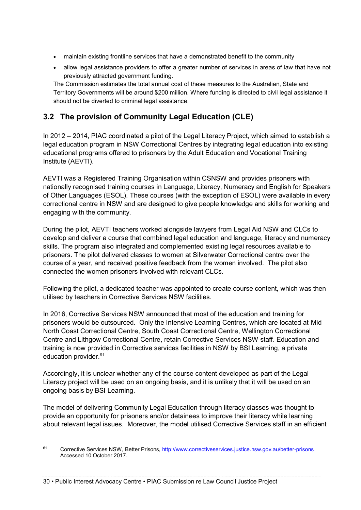- maintain existing frontline services that have a demonstrated benefit to the community
- allow legal assistance providers to offer a greater number of services in areas of law that have not previously attracted government funding.

The Commission estimates the total annual cost of these measures to the Australian, State and Territory Governments will be around \$200 million. Where funding is directed to civil legal assistance it should not be diverted to criminal legal assistance.

## **3.2 The provision of Community Legal Education (CLE)**

In 2012 – 2014, PIAC coordinated a pilot of the Legal Literacy Project, which aimed to establish a legal education program in NSW Correctional Centres by integrating legal education into existing educational programs offered to prisoners by the Adult Education and Vocational Training Institute (AEVTI).

AEVTI was a Registered Training Organisation within CSNSW and provides prisoners with nationally recognised training courses in Language, Literacy, Numeracy and English for Speakers of Other Languages (ESOL). These courses (with the exception of ESOL) were available in every correctional centre in NSW and are designed to give people knowledge and skills for working and engaging with the community.

During the pilot, AEVTI teachers worked alongside lawyers from Legal Aid NSW and CLCs to develop and deliver a course that combined legal education and language, literacy and numeracy skills. The program also integrated and complemented existing legal resources available to prisoners. The pilot delivered classes to women at Silverwater Correctional centre over the course of a year, and received positive feedback from the women involved. The pilot also connected the women prisoners involved with relevant CLCs.

Following the pilot, a dedicated teacher was appointed to create course content, which was then utilised by teachers in Corrective Services NSW facilities.

In 2016, Corrective Services NSW announced that most of the education and training for prisoners would be outsourced. Only the Intensive Learning Centres, which are located at Mid North Coast Correctional Centre, South Coast Correctional Centre, Wellington Correctional Centre and Lithgow Correctional Centre, retain Corrective Services NSW staff. Education and training is now provided in Corrective services facilities in NSW by BSI Learning, a private education provider.61

Accordingly, it is unclear whether any of the course content developed as part of the Legal Literacy project will be used on an ongoing basis, and it is unlikely that it will be used on an ongoing basis by BSI Learning.

The model of delivering Community Legal Education through literacy classes was thought to provide an opportunity for prisoners and/or detainees to improve their literacy while learning about relevant legal issues. Moreover, the model utilised Corrective Services staff in an efficient

30 • Public Interest Advocacy Centre • PIAC Submission re Law Council Justice Project

 <sup>61</sup> Corrective Services NSW, Better Prisons,<http://www.correctiveservices.justice.nsw.gov.au/better-prisons> Accessed 10 October 2017.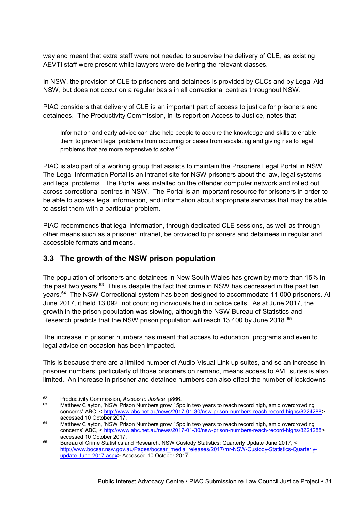way and meant that extra staff were not needed to supervise the delivery of CLE, as existing AEVTI staff were present while lawyers were delivering the relevant classes.

In NSW, the provision of CLE to prisoners and detainees is provided by CLCs and by Legal Aid NSW, but does not occur on a regular basis in all correctional centres throughout NSW.

PIAC considers that delivery of CLE is an important part of access to justice for prisoners and detainees. The Productivity Commission, in its report on Access to Justice, notes that

Information and early advice can also help people to acquire the knowledge and skills to enable them to prevent legal problems from occurring or cases from escalating and giving rise to legal problems that are more expensive to solve.<sup>62</sup>

PIAC is also part of a working group that assists to maintain the Prisoners Legal Portal in NSW. The Legal Information Portal is an intranet site for NSW prisoners about the law, legal systems and legal problems. The Portal was installed on the offender computer network and rolled out across correctional centres in NSW. The Portal is an important resource for prisoners in order to be able to access legal information, and information about appropriate services that may be able to assist them with a particular problem.

PIAC recommends that legal information, through dedicated CLE sessions, as well as through other means such as a prisoner intranet, be provided to prisoners and detainees in regular and accessible formats and means.

## **3.3 The growth of the NSW prison population**

The population of prisoners and detainees in New South Wales has grown by more than 15% in the past two years. $63$  This is despite the fact that crime in NSW has decreased in the past ten years.<sup>64</sup> The NSW Correctional system has been designed to accommodate 11,000 prisoners. At June 2017, it held 13,092, not counting individuals held in police cells. As at June 2017, the growth in the prison population was slowing, although the NSW Bureau of Statistics and Research predicts that the NSW prison population will reach 13,400 by June 2018.<sup>65</sup>

The increase in prisoner numbers has meant that access to education, programs and even to legal advice on occasion has been impacted.

This is because there are a limited number of Audio Visual Link up suites, and so an increase in prisoner numbers, particularly of those prisoners on remand, means access to AVL suites is also limited. An increase in prisoner and detainee numbers can also effect the number of lockdowns

 <sup>62</sup> Productivity Commission, *Access to Justice*, p866.

Matthew Clayton, 'NSW Prison Numbers grow 15pc in two years to reach record high, amid overcrowding concerns' ABC, < [http://www.abc.net.au/news/2017-01-30/nsw-prison-numbers-reach-record-highs/8224288>](http://www.abc.net.au/news/2017-01-30/nsw-prison-numbers-reach-record-highs/8224288) accessed 10 October 2017.

<sup>64</sup> Matthew Clayton, 'NSW Prison Numbers grow 15pc in two years to reach record high, amid overcrowding concerns' ABC, < [http://www.abc.net.au/news/2017-01-30/nsw-prison-numbers-reach-record-highs/8224288>](http://www.abc.net.au/news/2017-01-30/nsw-prison-numbers-reach-record-highs/8224288) accessed 10 October 2017.

<sup>65</sup> Bureau of Crime Statistics and Research, NSW Custody Statistics: Quarterly Update June 2017, < [http://www.bocsar.nsw.gov.au/Pages/bocsar\\_media\\_releases/2017/mr-NSW-Custody-Statistics-Quarterly](http://www.bocsar.nsw.gov.au/Pages/bocsar_media_releases/2017/mr-NSW-Custody-Statistics-Quarterly-update-June-2017.aspx)[update-June-2017.aspx>](http://www.bocsar.nsw.gov.au/Pages/bocsar_media_releases/2017/mr-NSW-Custody-Statistics-Quarterly-update-June-2017.aspx) Accessed 10 October 2017.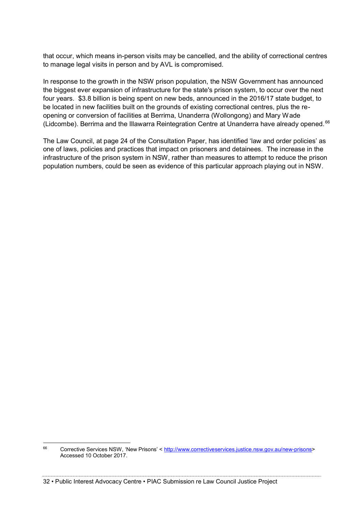that occur, which means in-person visits may be cancelled, and the ability of correctional centres to manage legal visits in person and by AVL is compromised.

In response to the growth in the NSW prison population, the NSW Government has announced the biggest ever expansion of infrastructure for the state's prison system, to occur over the next four years. \$3.8 billion is being spent on new beds, announced in the 2016/17 state budget, to be located in new facilities built on the grounds of existing correctional centres, plus the reopening or conversion of facilities at Berrima, Unanderra (Wollongong) and Mary Wade (Lidcombe). Berrima and the Illawarra Reintegration Centre at Unanderra have already opened. <sup>66</sup>

The Law Council, at page 24 of the Consultation Paper, has identified 'law and order policies' as one of laws, policies and practices that impact on prisoners and detainees. The increase in the infrastructure of the prison system in NSW, rather than measures to attempt to reduce the prison population numbers, could be seen as evidence of this particular approach playing out in NSW.

 <sup>66</sup> Corrective Services NSW, 'New Prisons' < [http://www.correctiveservices.justice.nsw.gov.au/new-prisons>](http://www.correctiveservices.justice.nsw.gov.au/new-prisons) Accessed 10 October 2017.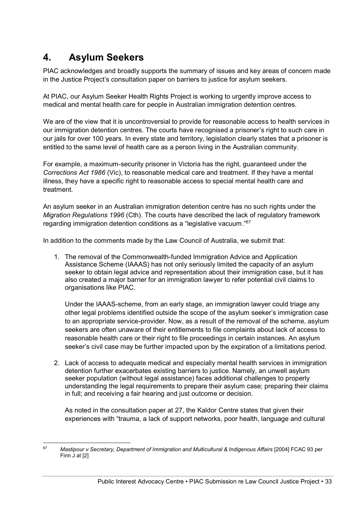## **4. Asylum Seekers**

PIAC acknowledges and broadly supports the summary of issues and key areas of concern made in the Justice Project's consultation paper on barriers to justice for asylum seekers.

At PIAC, our Asylum Seeker Health Rights Project is working to urgently improve access to medical and mental health care for people in Australian immigration detention centres.

We are of the view that it is uncontroversial to provide for reasonable access to health services in our immigration detention centres. The courts have recognised a prisoner's right to such care in our jails for over 100 years. In every state and territory, legislation clearly states that a prisoner is entitled to the same level of health care as a person living in the Australian community.

For example, a maximum-security prisoner in Victoria has the right, guaranteed under the *Corrections Act 1986* (Vic), to reasonable medical care and treatment. If they have a mental illness, they have a specific right to reasonable access to special mental health care and treatment.

An asylum seeker in an Australian immigration detention centre has no such rights under the *Migration Regulations 1996* (Cth). The courts have described the lack of regulatory framework regarding immigration detention conditions as a "legislative vacuum."<sup>67</sup>

In addition to the comments made by the Law Council of Australia, we submit that:

1. The removal of the Commonwealth-funded Immigration Advice and Application Assistance Scheme (IAAAS) has not only seriously limited the capacity of an asylum seeker to obtain legal advice and representation about their immigration case, but it has also created a major barrier for an immigration lawyer to refer potential civil claims to organisations like PIAC.

Under the IAAAS-scheme, from an early stage, an immigration lawyer could triage any other legal problems identified outside the scope of the asylum seeker's immigration case to an appropriate service-provider. Now, as a result of the removal of the scheme, asylum seekers are often unaware of their entitlements to file complaints about lack of access to reasonable health care or their right to file proceedings in certain instances. An asylum seeker's civil case may be further impacted upon by the expiration of a limitations period.

2. Lack of access to adequate medical and especially mental health services in immigration detention further exacerbates existing barriers to justice. Namely, an unwell asylum seeker population (without legal assistance) faces additional challenges to properly understanding the legal requirements to prepare their asylum case; preparing their claims in full; and receiving a fair hearing and just outcome or decision.

As noted in the consultation paper at 27, the Kaldor Centre states that given their experiences with "trauma, a lack of support networks, poor health, language and cultural

 <sup>67</sup> *Mastipour v Secretary, Department of Immigration and Multicultural & Indigenous Affairs* [2004] FCAC 93 per Finn J at [2]